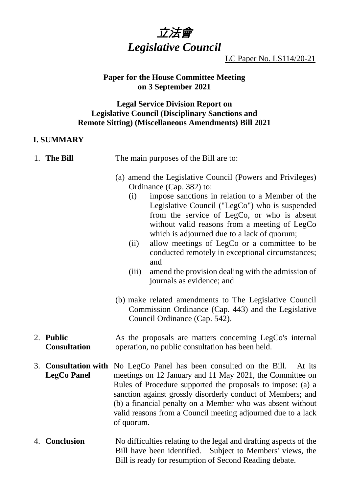

LC Paper No. LS114/20-21

### **Paper for the House Committee Meeting on 3 September 2021**

### **Legal Service Division Report on Legislative Council (Disciplinary Sanctions and Remote Sitting) (Miscellaneous Amendments) Bill 2021**

# **I. SUMMARY**

| The main purposes of the Bill are to: |
|---------------------------------------|
|                                       |

- (a) amend the Legislative Council (Powers and Privileges) Ordinance (Cap. 382) to:
	- (i) impose sanctions in relation to a Member of the Legislative Council ("LegCo") who is suspended from the service of LegCo, or who is absent without valid reasons from a meeting of LegCo which is adjourned due to a lack of quorum;
	- (ii) allow meetings of LegCo or a committee to be conducted remotely in exceptional circumstances; and
	- (iii) amend the provision dealing with the admission of journals as evidence; and
- (b) make related amendments to The Legislative Council Commission Ordinance (Cap. 443) and the Legislative Council Ordinance (Cap. 542).
- 2. **Public Consultation** As the proposals are matters concerning LegCo's internal operation, no public consultation has been held.
- 3. **Consultation with** No LegCo Panel has been consulted on the Bill. At its **LegCo Panel** meetings on 12 January and 11 May 2021, the Committee on Rules of Procedure supported the proposals to impose: (a) a sanction against grossly disorderly conduct of Members; and (b) a financial penalty on a Member who was absent without valid reasons from a Council meeting adjourned due to a lack of quorum.
- 4. **Conclusion** No difficulties relating to the legal and drafting aspects of the Bill have been identified. Subject to Members' views, the Bill is ready for resumption of Second Reading debate.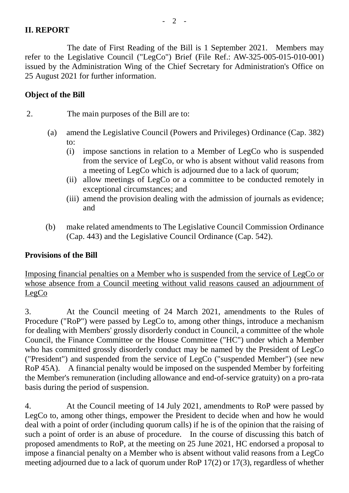### **II. REPORT**

The date of First Reading of the Bill is 1 September 2021. Members may refer to the Legislative Council ("LegCo") Brief (File Ref.: AW-325-005-015-010-001) issued by the Administration Wing of the Chief Secretary for Administration's Office on 25 August 2021 for further information.

#### **Object of the Bill**

2. The main purposes of the Bill are to:

- (a) amend the Legislative Council (Powers and Privileges) Ordinance (Cap. 382) to:
	- (i) impose sanctions in relation to a Member of LegCo who is suspended from the service of LegCo, or who is absent without valid reasons from a meeting of LegCo which is adjourned due to a lack of quorum;
	- (ii) allow meetings of LegCo or a committee to be conducted remotely in exceptional circumstances; and
	- (iii) amend the provision dealing with the admission of journals as evidence; and
- (b) make related amendments to The Legislative Council Commission Ordinance (Cap. 443) and the Legislative Council Ordinance (Cap. 542).

### **Provisions of the Bill**

Imposing financial penalties on a Member who is suspended from the service of LegCo or whose absence from a Council meeting without valid reasons caused an adjournment of LegCo

3. At the Council meeting of 24 March 2021, amendments to the Rules of Procedure ("RoP") were passed by LegCo to, among other things, introduce a mechanism for dealing with Members' grossly disorderly conduct in Council, a committee of the whole Council, the Finance Committee or the House Committee ("HC") under which a Member who has committed grossly disorderly conduct may be named by the President of LegCo ("President") and suspended from the service of LegCo ("suspended Member") (see new RoP 45A). A financial penalty would be imposed on the suspended Member by forfeiting the Member's remuneration (including allowance and end-of-service gratuity) on a pro-rata basis during the period of suspension.

4. At the Council meeting of 14 July 2021, amendments to RoP were passed by LegCo to, among other things, empower the President to decide when and how he would deal with a point of order (including quorum calls) if he is of the opinion that the raising of such a point of order is an abuse of procedure. In the course of discussing this batch of proposed amendments to RoP, at the meeting on 25 June 2021, HC endorsed a proposal to impose a financial penalty on a Member who is absent without valid reasons from a LegCo meeting adjourned due to a lack of quorum under RoP 17(2) or 17(3), regardless of whether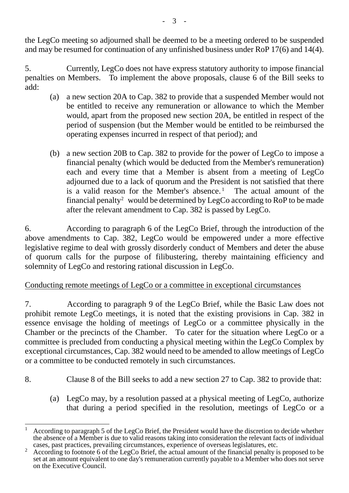the LegCo meeting so adjourned shall be deemed to be a meeting ordered to be suspended and may be resumed for continuation of any unfinished business under RoP 17(6) and 14(4).

5. Currently, LegCo does not have express statutory authority to impose financial penalties on Members. To implement the above proposals, clause 6 of the Bill seeks to add:

- (a) a new section 20A to Cap. 382 to provide that a suspended Member would not be entitled to receive any remuneration or allowance to which the Member would, apart from the proposed new section 20A, be entitled in respect of the period of suspension (but the Member would be entitled to be reimbursed the operating expenses incurred in respect of that period); and
- (b) a new section 20B to Cap. 382 to provide for the power of LegCo to impose a financial penalty (which would be deducted from the Member's remuneration) each and every time that a Member is absent from a meeting of LegCo adjourned due to a lack of quorum and the President is not satisfied that there is a valid reason for the Member's absence.<sup>[1](#page-2-0)</sup> The actual amount of the financial penalty<sup>[2](#page-2-1)</sup> would be determined by LegCo according to RoP to be made after the relevant amendment to Cap. 382 is passed by LegCo.

6. According to paragraph 6 of the LegCo Brief, through the introduction of the above amendments to Cap. 382, LegCo would be empowered under a more effective legislative regime to deal with grossly disorderly conduct of Members and deter the abuse of quorum calls for the purpose of filibustering, thereby maintaining efficiency and solemnity of LegCo and restoring rational discussion in LegCo.

# Conducting remote meetings of LegCo or a committee in exceptional circumstances

7. According to paragraph 9 of the LegCo Brief, while the Basic Law does not prohibit remote LegCo meetings, it is noted that the existing provisions in Cap. 382 in essence envisage the holding of meetings of LegCo or a committee physically in the Chamber or the precincts of the Chamber. To cater for the situation where LegCo or a committee is precluded from conducting a physical meeting within the LegCo Complex by exceptional circumstances, Cap. 382 would need to be amended to allow meetings of LegCo or a committee to be conducted remotely in such circumstances.

- 8. Clause 8 of the Bill seeks to add a new section 27 to Cap. 382 to provide that:
	- (a) LegCo may, by a resolution passed at a physical meeting of LegCo, authorize that during a period specified in the resolution, meetings of LegCo or a

<span id="page-2-0"></span><sup>&</sup>lt;sup>1</sup> According to paragraph 5 of the LegCo Brief, the President would have the discretion to decide whether the absence of a Member is due to valid reasons taking into consideration the relevant facts of individual cases, past practices, prevailing circumstances, experience of overseas legislatures, etc.

<span id="page-2-1"></span><sup>&</sup>lt;sup>2</sup> According to footnote 6 of the LegCo Brief, the actual amount of the financial penalty is proposed to be set at an amount equivalent to one day's remuneration currently payable to a Member who does not serve on the Executive Council.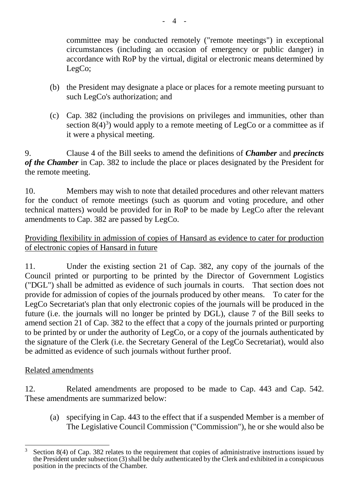committee may be conducted remotely ("remote meetings") in exceptional circumstances (including an occasion of emergency or public danger) in accordance with RoP by the virtual, digital or electronic means determined by LegCo;

- (b) the President may designate a place or places for a remote meeting pursuant to such LegCo's authorization; and
- (c) Cap. 382 (including the provisions on privileges and immunities, other than section  $8(4)^3$  $8(4)^3$ ) would apply to a remote meeting of LegCo or a committee as if it were a physical meeting.

9. Clause 4 of the Bill seeks to amend the definitions of *Chamber* and *precincts of the Chamber* in Cap. 382 to include the place or places designated by the President for the remote meeting.

10. Members may wish to note that detailed procedures and other relevant matters for the conduct of remote meetings (such as quorum and voting procedure, and other technical matters) would be provided for in RoP to be made by LegCo after the relevant amendments to Cap. 382 are passed by LegCo.

# Providing flexibility in admission of copies of Hansard as evidence to cater for production of electronic copies of Hansard in future

11. Under the existing section 21 of Cap. 382, any copy of the journals of the Council printed or purporting to be printed by the Director of Government Logistics ("DGL") shall be admitted as evidence of such journals in courts. That section does not provide for admission of copies of the journals produced by other means. To cater for the LegCo Secretariat's plan that only electronic copies of the journals will be produced in the future (i.e. the journals will no longer be printed by DGL), clause 7 of the Bill seeks to amend section 21 of Cap. 382 to the effect that a copy of the journals printed or purporting to be printed by or under the authority of LegCo, or a copy of the journals authenticated by the signature of the Clerk (i.e. the Secretary General of the LegCo Secretariat), would also be admitted as evidence of such journals without further proof.

# Related amendments

12. Related amendments are proposed to be made to Cap. 443 and Cap. 542. These amendments are summarized below:

(a) specifying in Cap. 443 to the effect that if a suspended Member is a member of The Legislative Council Commission ("Commission"), he or she would also be

<span id="page-3-0"></span>Section 8(4) of Cap. 382 relates to the requirement that copies of administrative instructions issued by the President under subsection (3) shall be duly authenticated by the Clerk and exhibited in a conspicuous position in the precincts of the Chamber.